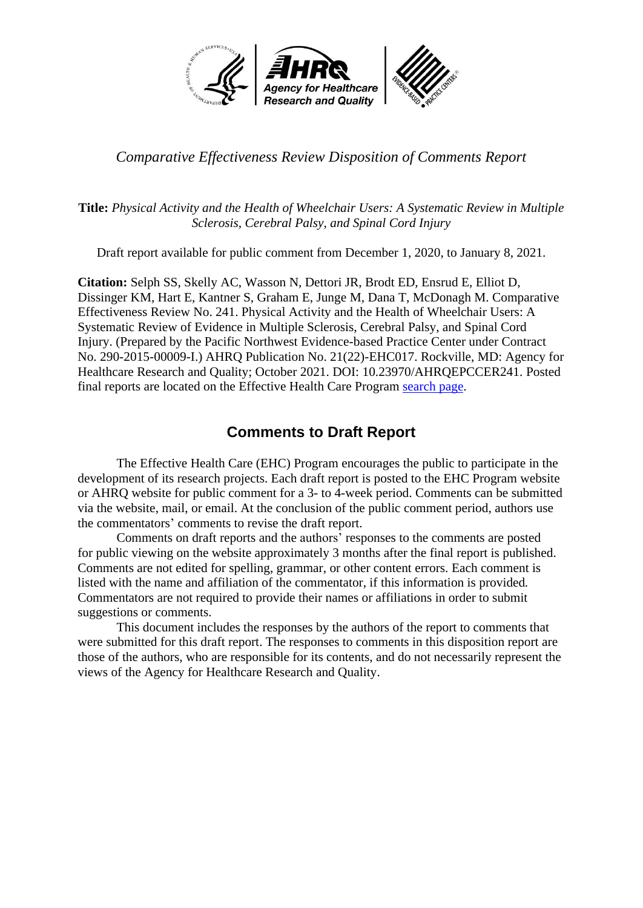

#### *Comparative Effectiveness Review Disposition of Comments Report*

#### **Title:** *Physical Activity and the Health of Wheelchair Users: A Systematic Review in Multiple Sclerosis, Cerebral Palsy, and Spinal Cord Injury*

Draft report available for public comment from December 1, 2020, to January 8, 2021.

**Citation:** Selph SS, Skelly AC, Wasson N, Dettori JR, Brodt ED, Ensrud E, Elliot D, Dissinger KM, Hart E, Kantner S, Graham E, Junge M, Dana T, McDonagh M. Comparative Effectiveness Review No. 241. Physical Activity and the Health of Wheelchair Users: A Systematic Review of Evidence in Multiple Sclerosis, Cerebral Palsy, and Spinal Cord Injury. (Prepared by the Pacific Northwest Evidence-based Practice Center under Contract No. 290-2015-00009-I.) AHRQ Publication No. 21(22)-EHC017. Rockville, MD: Agency for Healthcare Research and Quality; October 2021. DOI: 10.23970/AHRQEPCCER241. Posted final reports are located on the Effective Health Care Program [search page.](https://effectivehealthcare.ahrq.gov/products?f%5B0%5D=field_product_type%3Aresearch_report&f%5B1%5D=field_product_type%3Asystematic_review&f%5B2%5D=field_product_type%3Atechnical_brief&f%5B3%5D=field_product_type%3Awhite_paper&f%5B4%5D=field_product_type%3Amethods_guide_chapter&sort_by=field_product_pub_date)

### **Comments to Draft Report**

The Effective Health Care (EHC) Program encourages the public to participate in the development of its research projects. Each draft report is posted to the EHC Program website or AHRQ website for public comment for a 3- to 4-week period. Comments can be submitted via the website, mail, or email. At the conclusion of the public comment period, authors use the commentators' comments to revise the draft report.

Comments on draft reports and the authors' responses to the comments are posted for public viewing on the website approximately 3 months after the final report is published. Comments are not edited for spelling, grammar, or other content errors. Each comment is listed with the name and affiliation of the commentator, if this information is provided*.* Commentators are not required to provide their names or affiliations in order to submit suggestions or comments.

This document includes the responses by the authors of the report to comments that were submitted for this draft report. The responses to comments in this disposition report are those of the authors, who are responsible for its contents, and do not necessarily represent the views of the Agency for Healthcare Research and Quality.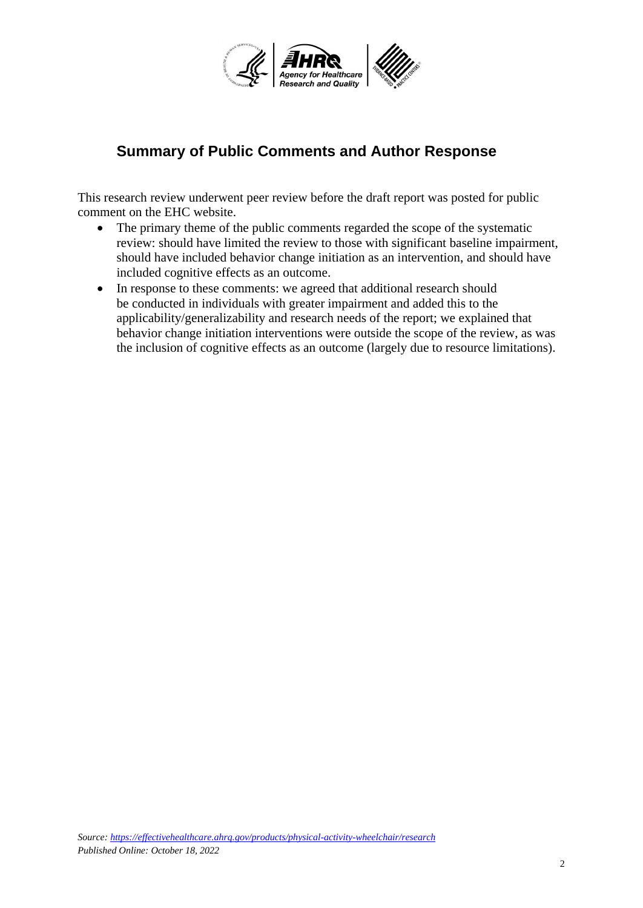

## **Summary of Public Comments and Author Response**

This research review underwent peer review before the draft report was posted for public comment on the EHC website.

- The primary theme of the public comments regarded the scope of the systematic review: should have limited the review to those with significant baseline impairment, should have included behavior change initiation as an intervention, and should have included cognitive effects as an outcome.
- In response to these comments: we agreed that additional research should be conducted in individuals with greater impairment and added this to the applicability/generalizability and research needs of the report; we explained that behavior change initiation interventions were outside the scope of the review, as was the inclusion of cognitive effects as an outcome (largely due to resource limitations).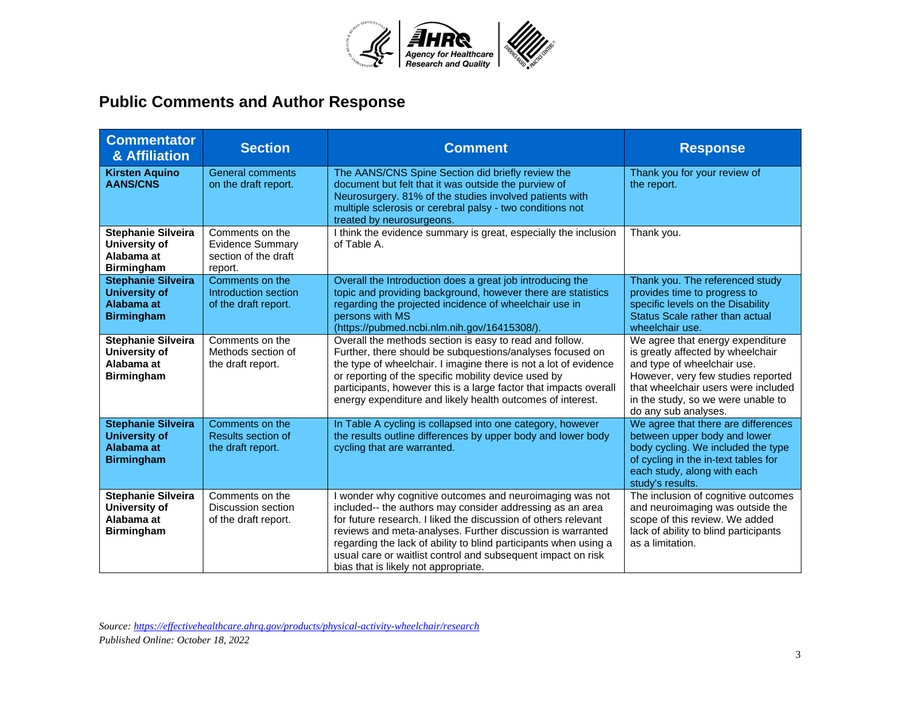

# **Public Comments and Author Response**

| <b>Commentator</b><br>& Affiliation                                                  | <b>Section</b>                                                                | <b>Comment</b>                                                                                                                                                                                                                                                                                                                                                                                                                    | <b>Response</b>                                                                                                                                                                                                                                 |
|--------------------------------------------------------------------------------------|-------------------------------------------------------------------------------|-----------------------------------------------------------------------------------------------------------------------------------------------------------------------------------------------------------------------------------------------------------------------------------------------------------------------------------------------------------------------------------------------------------------------------------|-------------------------------------------------------------------------------------------------------------------------------------------------------------------------------------------------------------------------------------------------|
| <b>Kirsten Aquino</b><br><b>AANS/CNS</b>                                             | <b>General comments</b><br>on the draft report.                               | The AANS/CNS Spine Section did briefly review the<br>document but felt that it was outside the purview of<br>Neurosurgery. 81% of the studies involved patients with<br>multiple sclerosis or cerebral palsy - two conditions not<br>treated by neurosurgeons.                                                                                                                                                                    | Thank you for your review of<br>the report.                                                                                                                                                                                                     |
| <b>Stephanie Silveira</b><br>University of<br>Alabama at<br><b>Birmingham</b>        | Comments on the<br><b>Evidence Summary</b><br>section of the draft<br>report. | I think the evidence summary is great, especially the inclusion<br>of Table A.                                                                                                                                                                                                                                                                                                                                                    | Thank you.                                                                                                                                                                                                                                      |
| <b>Stephanie Silveira</b><br><b>University of</b><br>Alabama at<br><b>Birmingham</b> | Comments on the<br>Introduction section<br>of the draft report.               | Overall the Introduction does a great job introducing the<br>topic and providing background, however there are statistics<br>regarding the projected incidence of wheelchair use in<br>persons with MS<br>(https://pubmed.ncbi.nlm.nih.gov/16415308/).                                                                                                                                                                            | Thank you. The referenced study<br>provides time to progress to<br>specific levels on the Disability<br>Status Scale rather than actual<br>wheelchair use.                                                                                      |
| <b>Stephanie Silveira</b><br>University of<br>Alabama at<br><b>Birmingham</b>        | Comments on the<br>Methods section of<br>the draft report.                    | Overall the methods section is easy to read and follow.<br>Further, there should be subquestions/analyses focused on<br>the type of wheelchair. I imagine there is not a lot of evidence<br>or reporting of the specific mobility device used by<br>participants, however this is a large factor that impacts overall<br>energy expenditure and likely health outcomes of interest.                                               | We agree that energy expenditure<br>is greatly affected by wheelchair<br>and type of wheelchair use.<br>However, very few studies reported<br>that wheelchair users were included<br>in the study, so we were unable to<br>do any sub analyses. |
| <b>Stephanie Silveira</b><br><b>University of</b><br>Alabama at<br><b>Birmingham</b> | Comments on the<br>Results section of<br>the draft report.                    | In Table A cycling is collapsed into one category, however<br>the results outline differences by upper body and lower body<br>cycling that are warranted.                                                                                                                                                                                                                                                                         | We agree that there are differences<br>between upper body and lower<br>body cycling. We included the type<br>of cycling in the in-text tables for<br>each study, along with each<br>study's results.                                            |
| <b>Stephanie Silveira</b><br>University of<br>Alabama at<br><b>Birmingham</b>        | Comments on the<br>Discussion section<br>of the draft report.                 | I wonder why cognitive outcomes and neuroimaging was not<br>included-- the authors may consider addressing as an area<br>for future research. I liked the discussion of others relevant<br>reviews and meta-analyses. Further discussion is warranted<br>regarding the lack of ability to blind participants when using a<br>usual care or waitlist control and subsequent impact on risk<br>bias that is likely not appropriate. | The inclusion of cognitive outcomes<br>and neuroimaging was outside the<br>scope of this review. We added<br>lack of ability to blind participants<br>as a limitation.                                                                          |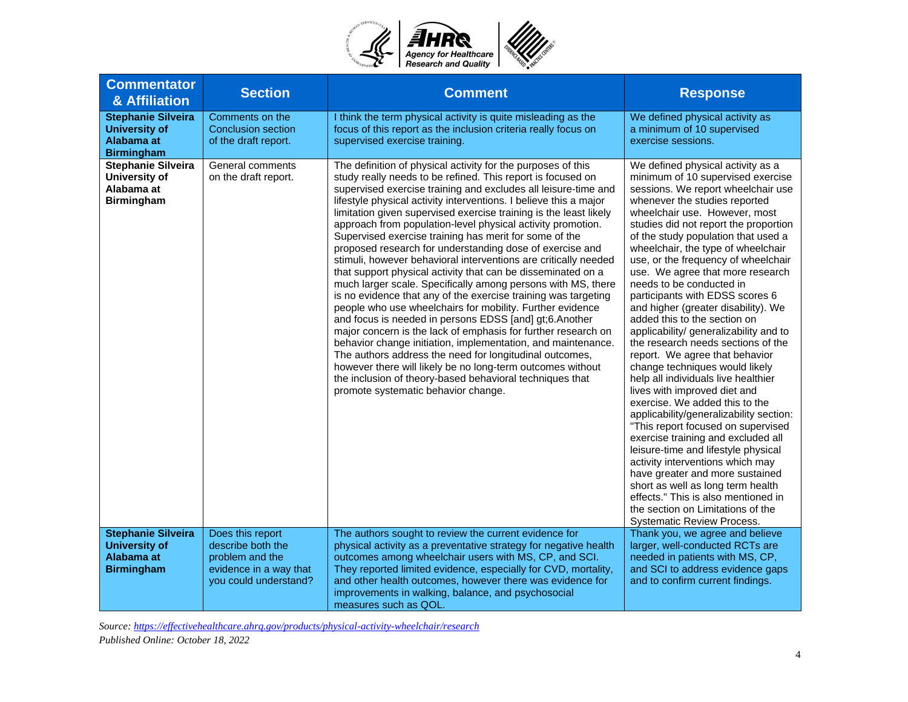

| <b>Commentator</b><br>& Affiliation                                                  | <b>Section</b>                                                                                              | <b>Comment</b>                                                                                                                                                                                                                                                                                                                                                                                                                                                                                                                                                                                                                                                                                                                                                                                                                                                                                                                                                                                                                                                                                                                                                                                                                                                                        | <b>Response</b>                                                                                                                                                                                                                                                                                                                                                                                                                                                                                                                                                                                                                                                                                                                                                                                                                                                                                                                                                                                                                                                                                                                                                               |
|--------------------------------------------------------------------------------------|-------------------------------------------------------------------------------------------------------------|---------------------------------------------------------------------------------------------------------------------------------------------------------------------------------------------------------------------------------------------------------------------------------------------------------------------------------------------------------------------------------------------------------------------------------------------------------------------------------------------------------------------------------------------------------------------------------------------------------------------------------------------------------------------------------------------------------------------------------------------------------------------------------------------------------------------------------------------------------------------------------------------------------------------------------------------------------------------------------------------------------------------------------------------------------------------------------------------------------------------------------------------------------------------------------------------------------------------------------------------------------------------------------------|-------------------------------------------------------------------------------------------------------------------------------------------------------------------------------------------------------------------------------------------------------------------------------------------------------------------------------------------------------------------------------------------------------------------------------------------------------------------------------------------------------------------------------------------------------------------------------------------------------------------------------------------------------------------------------------------------------------------------------------------------------------------------------------------------------------------------------------------------------------------------------------------------------------------------------------------------------------------------------------------------------------------------------------------------------------------------------------------------------------------------------------------------------------------------------|
| <b>Stephanie Silveira</b><br><b>University of</b><br>Alabama at<br><b>Birmingham</b> | Comments on the<br>Conclusion section<br>of the draft report.                                               | I think the term physical activity is quite misleading as the<br>focus of this report as the inclusion criteria really focus on<br>supervised exercise training.                                                                                                                                                                                                                                                                                                                                                                                                                                                                                                                                                                                                                                                                                                                                                                                                                                                                                                                                                                                                                                                                                                                      | We defined physical activity as<br>a minimum of 10 supervised<br>exercise sessions.                                                                                                                                                                                                                                                                                                                                                                                                                                                                                                                                                                                                                                                                                                                                                                                                                                                                                                                                                                                                                                                                                           |
| <b>Stephanie Silveira</b><br>University of<br>Alabama at<br><b>Birmingham</b>        | General comments<br>on the draft report.                                                                    | The definition of physical activity for the purposes of this<br>study really needs to be refined. This report is focused on<br>supervised exercise training and excludes all leisure-time and<br>lifestyle physical activity interventions. I believe this a major<br>limitation given supervised exercise training is the least likely<br>approach from population-level physical activity promotion.<br>Supervised exercise training has merit for some of the<br>proposed research for understanding dose of exercise and<br>stimuli, however behavioral interventions are critically needed<br>that support physical activity that can be disseminated on a<br>much larger scale. Specifically among persons with MS, there<br>is no evidence that any of the exercise training was targeting<br>people who use wheelchairs for mobility. Further evidence<br>and focus is needed in persons EDSS [and] gt;6.Another<br>major concern is the lack of emphasis for further research on<br>behavior change initiation, implementation, and maintenance.<br>The authors address the need for longitudinal outcomes,<br>however there will likely be no long-term outcomes without<br>the inclusion of theory-based behavioral techniques that<br>promote systematic behavior change. | We defined physical activity as a<br>minimum of 10 supervised exercise<br>sessions. We report wheelchair use<br>whenever the studies reported<br>wheelchair use. However, most<br>studies did not report the proportion<br>of the study population that used a<br>wheelchair, the type of wheelchair<br>use, or the frequency of wheelchair<br>use. We agree that more research<br>needs to be conducted in<br>participants with EDSS scores 6<br>and higher (greater disability). We<br>added this to the section on<br>applicability/ generalizability and to<br>the research needs sections of the<br>report. We agree that behavior<br>change techniques would likely<br>help all individuals live healthier<br>lives with improved diet and<br>exercise. We added this to the<br>applicability/generalizability section:<br>"This report focused on supervised<br>exercise training and excluded all<br>leisure-time and lifestyle physical<br>activity interventions which may<br>have greater and more sustained<br>short as well as long term health<br>effects." This is also mentioned in<br>the section on Limitations of the<br><b>Systematic Review Process.</b> |
| <b>Stephanie Silveira</b><br><b>University of</b><br>Alabama at<br><b>Birmingham</b> | Does this report<br>describe both the<br>problem and the<br>evidence in a way that<br>you could understand? | The authors sought to review the current evidence for<br>physical activity as a preventative strategy for negative health<br>outcomes among wheelchair users with MS, CP, and SCI.<br>They reported limited evidence, especially for CVD, mortality,<br>and other health outcomes, however there was evidence for<br>improvements in walking, balance, and psychosocial<br>measures such as QOL.                                                                                                                                                                                                                                                                                                                                                                                                                                                                                                                                                                                                                                                                                                                                                                                                                                                                                      | Thank you, we agree and believe<br>larger, well-conducted RCTs are<br>needed in patients with MS, CP,<br>and SCI to address evidence gaps<br>and to confirm current findings.                                                                                                                                                                                                                                                                                                                                                                                                                                                                                                                                                                                                                                                                                                                                                                                                                                                                                                                                                                                                 |

*Source[: https://effectivehealthcare.ahrq.gov/products/physical-activity-wheelchair/research](https://effectivehealthcare.ahrq.gov/products/physical-activity-wheelchair/research)*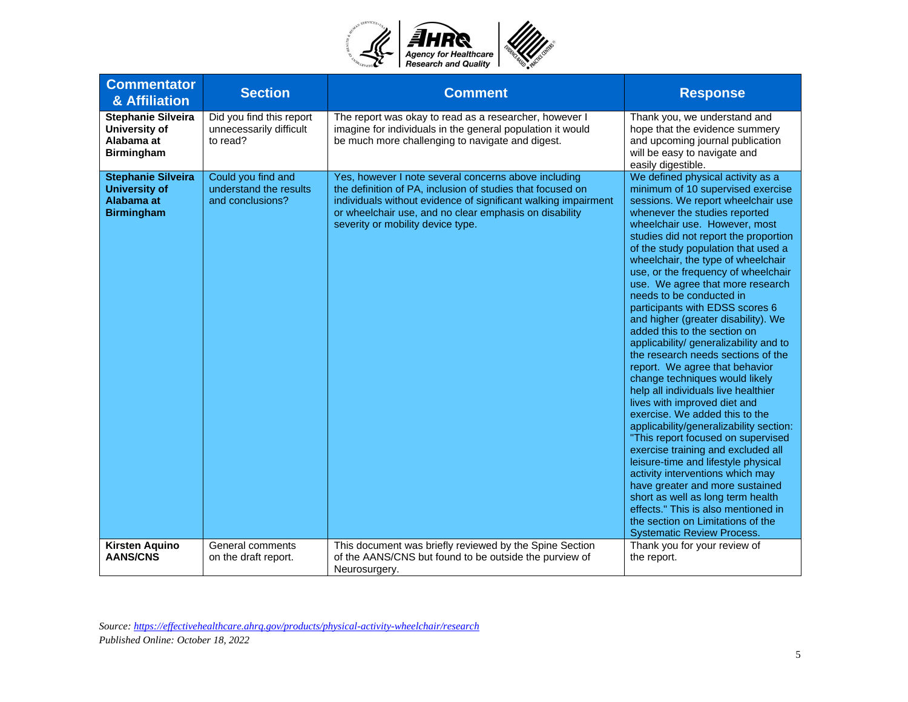

| <b>Commentator</b><br>& Affiliation                                                  | <b>Section</b>                                                   | <b>Comment</b>                                                                                                                                                                                                                                                                      | <b>Response</b>                                                                                                                                                                                                                                                                                                                                                                                                                                                                                                                                                                                                                                                                                                                                                                                                                                                                                                                                                                                                                                                                                                                                                               |
|--------------------------------------------------------------------------------------|------------------------------------------------------------------|-------------------------------------------------------------------------------------------------------------------------------------------------------------------------------------------------------------------------------------------------------------------------------------|-------------------------------------------------------------------------------------------------------------------------------------------------------------------------------------------------------------------------------------------------------------------------------------------------------------------------------------------------------------------------------------------------------------------------------------------------------------------------------------------------------------------------------------------------------------------------------------------------------------------------------------------------------------------------------------------------------------------------------------------------------------------------------------------------------------------------------------------------------------------------------------------------------------------------------------------------------------------------------------------------------------------------------------------------------------------------------------------------------------------------------------------------------------------------------|
| <b>Stephanie Silveira</b><br>University of<br>Alabama at<br><b>Birmingham</b>        | Did you find this report<br>unnecessarily difficult<br>to read?  | The report was okay to read as a researcher, however I<br>imagine for individuals in the general population it would<br>be much more challenging to navigate and digest.                                                                                                            | Thank you, we understand and<br>hope that the evidence summery<br>and upcoming journal publication<br>will be easy to navigate and<br>easily digestible.                                                                                                                                                                                                                                                                                                                                                                                                                                                                                                                                                                                                                                                                                                                                                                                                                                                                                                                                                                                                                      |
| <b>Stephanie Silveira</b><br><b>University of</b><br>Alabama at<br><b>Birmingham</b> | Could you find and<br>understand the results<br>and conclusions? | Yes, however I note several concerns above including<br>the definition of PA, inclusion of studies that focused on<br>individuals without evidence of significant walking impairment<br>or wheelchair use, and no clear emphasis on disability<br>severity or mobility device type. | We defined physical activity as a<br>minimum of 10 supervised exercise<br>sessions. We report wheelchair use<br>whenever the studies reported<br>wheelchair use. However, most<br>studies did not report the proportion<br>of the study population that used a<br>wheelchair, the type of wheelchair<br>use, or the frequency of wheelchair<br>use. We agree that more research<br>needs to be conducted in<br>participants with EDSS scores 6<br>and higher (greater disability). We<br>added this to the section on<br>applicability/ generalizability and to<br>the research needs sections of the<br>report. We agree that behavior<br>change techniques would likely<br>help all individuals live healthier<br>lives with improved diet and<br>exercise. We added this to the<br>applicability/generalizability section:<br>"This report focused on supervised<br>exercise training and excluded all<br>leisure-time and lifestyle physical<br>activity interventions which may<br>have greater and more sustained<br>short as well as long term health<br>effects." This is also mentioned in<br>the section on Limitations of the<br><b>Systematic Review Process.</b> |
| <b>Kirsten Aquino</b><br><b>AANS/CNS</b>                                             | General comments<br>on the draft report.                         | This document was briefly reviewed by the Spine Section<br>of the AANS/CNS but found to be outside the purview of<br>Neurosurgery.                                                                                                                                                  | Thank you for your review of<br>the report.                                                                                                                                                                                                                                                                                                                                                                                                                                                                                                                                                                                                                                                                                                                                                                                                                                                                                                                                                                                                                                                                                                                                   |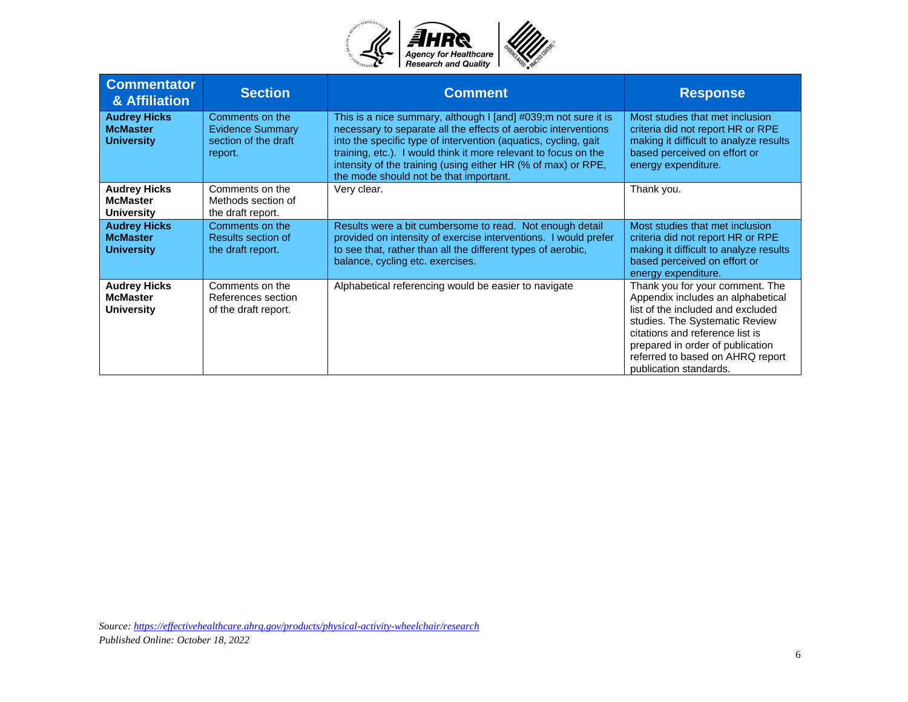

| <b>Commentator</b><br>& Affiliation                         | <b>Section</b>                                                                | <b>Comment</b>                                                                                                                                                                                                                                                                                                                                                                      | <b>Response</b>                                                                                                                                                                                                                                                                  |
|-------------------------------------------------------------|-------------------------------------------------------------------------------|-------------------------------------------------------------------------------------------------------------------------------------------------------------------------------------------------------------------------------------------------------------------------------------------------------------------------------------------------------------------------------------|----------------------------------------------------------------------------------------------------------------------------------------------------------------------------------------------------------------------------------------------------------------------------------|
| <b>Audrey Hicks</b><br><b>McMaster</b><br><b>University</b> | Comments on the<br><b>Evidence Summary</b><br>section of the draft<br>report. | This is a nice summary, although I [and] #039; m not sure it is<br>necessary to separate all the effects of aerobic interventions<br>into the specific type of intervention (aquatics, cycling, gait)<br>training, etc.). I would think it more relevant to focus on the<br>intensity of the training (using either HR (% of max) or RPE,<br>the mode should not be that important. | Most studies that met inclusion<br>criteria did not report HR or RPE<br>making it difficult to analyze results<br>based perceived on effort or<br>energy expenditure.                                                                                                            |
| <b>Audrey Hicks</b><br><b>McMaster</b><br><b>University</b> | Comments on the<br>Methods section of<br>the draft report.                    | Very clear.                                                                                                                                                                                                                                                                                                                                                                         | Thank you.                                                                                                                                                                                                                                                                       |
| <b>Audrey Hicks</b><br><b>McMaster</b><br><b>University</b> | Comments on the<br>Results section of<br>the draft report.                    | Results were a bit cumbersome to read. Not enough detail<br>provided on intensity of exercise interventions. I would prefer<br>to see that, rather than all the different types of aerobic,<br>balance, cycling etc. exercises.                                                                                                                                                     | Most studies that met inclusion<br>criteria did not report HR or RPE<br>making it difficult to analyze results<br>based perceived on effort or<br>energy expenditure.                                                                                                            |
| <b>Audrey Hicks</b><br><b>McMaster</b><br><b>University</b> | Comments on the<br>References section<br>of the draft report.                 | Alphabetical referencing would be easier to navigate                                                                                                                                                                                                                                                                                                                                | Thank you for your comment. The<br>Appendix includes an alphabetical<br>list of the included and excluded<br>studies. The Systematic Review<br>citations and reference list is<br>prepared in order of publication<br>referred to based on AHRQ report<br>publication standards. |